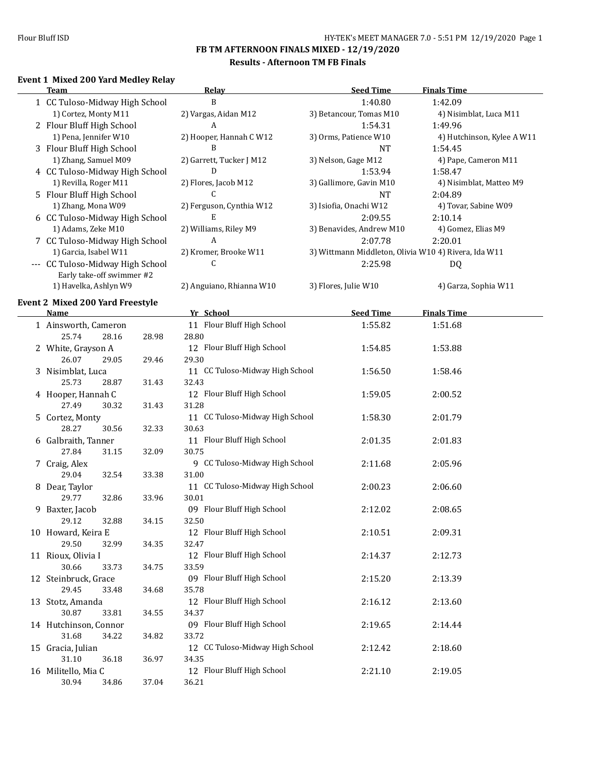#### **Results - Afternoon TM FB Finals**

## **Event 1 Mixed 200 Yard Medley Relay**

|    | <b>Team</b>                             |       | Relay                           | <b>Seed Time</b>                                     | <b>Finals Time</b>         |
|----|-----------------------------------------|-------|---------------------------------|------------------------------------------------------|----------------------------|
|    | 1 CC Tuloso-Midway High School          |       | B                               | 1:40.80                                              | 1:42.09                    |
|    | 1) Cortez, Monty M11                    |       | 2) Vargas, Aidan M12            | 3) Betancour, Tomas M10                              | 4) Nisimblat, Luca M11     |
|    | 2 Flour Bluff High School               |       | A                               | 1:54.31                                              | 1:49.96                    |
|    | 1) Pena, Jennifer W10                   |       | 2) Hooper, Hannah C W12         | 3) Orms, Patience W10                                | 4) Hutchinson, Kylee A W11 |
|    | 3 Flour Bluff High School               |       | B                               | <b>NT</b>                                            | 1:54.45                    |
|    | 1) Zhang, Samuel M09                    |       | 2) Garrett, Tucker J M12        | 3) Nelson, Gage M12                                  | 4) Pape, Cameron M11       |
|    | 4 CC Tuloso-Midway High School          |       | D                               | 1:53.94                                              | 1:58.47                    |
|    | 1) Revilla, Roger M11                   |       |                                 |                                                      |                            |
|    |                                         |       | 2) Flores, Jacob M12<br>C       | 3) Gallimore, Gavin M10                              | 4) Nisimblat, Matteo M9    |
|    | 5 Flour Bluff High School               |       |                                 | <b>NT</b>                                            | 2:04.89                    |
|    | 1) Zhang, Mona W09                      |       | 2) Ferguson, Cynthia W12        | 3) Isiofia, Onachi W12                               | 4) Tovar, Sabine W09       |
|    | 6 CC Tuloso-Midway High School          |       | E                               | 2:09.55                                              | 2:10.14                    |
|    | 1) Adams, Zeke M10                      |       | 2) Williams, Riley M9           | 3) Benavides, Andrew M10                             | 4) Gomez, Elias M9         |
|    | 7 CC Tuloso-Midway High School          |       | A                               | 2:07.78                                              | 2:20.01                    |
|    | 1) Garcia, Isabel W11                   |       | 2) Kromer, Brooke W11           | 3) Wittmann Middleton, Olivia W10 4) Rivera, Ida W11 |                            |
|    | --- CC Tuloso-Midway High School        |       | C                               | 2:25.98                                              | DQ                         |
|    | Early take-off swimmer #2               |       |                                 |                                                      |                            |
|    | 1) Havelka, Ashlyn W9                   |       | 2) Anguiano, Rhianna W10        | 3) Flores, Julie W10                                 | 4) Garza, Sophia W11       |
|    | <b>Event 2 Mixed 200 Yard Freestyle</b> |       |                                 |                                                      |                            |
|    | <b>Name</b>                             |       | Yr School                       | <b>Seed Time</b>                                     | <b>Finals Time</b>         |
|    | 1 Ainsworth, Cameron                    |       | 11 Flour Bluff High School      | 1:55.82                                              | 1:51.68                    |
|    | 25.74<br>28.16                          | 28.98 | 28.80                           |                                                      |                            |
|    |                                         |       |                                 |                                                      |                            |
|    | 2 White, Grayson A                      |       | 12 Flour Bluff High School      | 1:54.85                                              | 1:53.88                    |
|    | 26.07<br>29.05                          | 29.46 | 29.30                           |                                                      |                            |
|    | 3 Nisimblat, Luca                       |       | 11 CC Tuloso-Midway High School | 1:56.50                                              | 1:58.46                    |
|    | 25.73<br>28.87                          | 31.43 | 32.43                           |                                                      |                            |
|    | 4 Hooper, Hannah C                      |       | 12 Flour Bluff High School      | 1:59.05                                              | 2:00.52                    |
|    | 27.49<br>30.32                          | 31.43 | 31.28                           |                                                      |                            |
|    | 5 Cortez, Monty                         |       | 11 CC Tuloso-Midway High School | 1:58.30                                              | 2:01.79                    |
|    | 28.27<br>30.56                          | 32.33 | 30.63                           |                                                      |                            |
|    | 6 Galbraith, Tanner                     |       | 11 Flour Bluff High School      | 2:01.35                                              | 2:01.83                    |
|    | 27.84<br>31.15                          | 32.09 | 30.75                           |                                                      |                            |
|    | 7 Craig, Alex                           |       | 9 CC Tuloso-Midway High School  | 2:11.68                                              | 2:05.96                    |
|    | 32.54<br>29.04                          | 33.38 | 31.00                           |                                                      |                            |
|    | 8 Dear, Taylor                          |       | 11 CC Tuloso-Midway High School | 2:00.23                                              | 2:06.60                    |
|    | 29.77<br>32.86                          | 33.96 | 30.01                           |                                                      |                            |
| 9. | Baxter, Jacob                           |       | 09 Flour Bluff High School      | 2:12.02                                              | 2:08.65                    |
|    | 32.88<br>29.12                          | 34.15 | 32.50                           |                                                      |                            |
|    | 10 Howard, Keira E                      |       | 12 Flour Bluff High School      | 2:10.51                                              | 2:09.31                    |
|    | 29.50<br>32.99                          | 34.35 | 32.47                           |                                                      |                            |
|    | 11 Rioux, Olivia I                      |       | 12 Flour Bluff High School      | 2:14.37                                              | 2:12.73                    |
|    | 30.66<br>33.73                          | 34.75 | 33.59                           |                                                      |                            |
|    | 12 Steinbruck, Grace                    |       | 09 Flour Bluff High School      |                                                      | 2:13.39                    |
|    |                                         |       |                                 | 2:15.20                                              |                            |
|    | 29.45<br>33.48                          | 34.68 | 35.78                           |                                                      |                            |
|    | 13 Stotz, Amanda                        |       | 12 Flour Bluff High School      | 2:16.12                                              | 2:13.60                    |
|    | 30.87<br>33.81                          | 34.55 | 34.37                           |                                                      |                            |
|    | 14 Hutchinson, Connor                   |       | 09 Flour Bluff High School      | 2:19.65                                              | 2:14.44                    |
|    | 31.68<br>34.22                          | 34.82 | 33.72                           |                                                      |                            |
|    | 15 Gracia, Julian                       |       | 12 CC Tuloso-Midway High School | 2:12.42                                              | 2:18.60                    |
|    | 31.10<br>36.18                          | 36.97 | 34.35                           |                                                      |                            |
|    | 16 Militello, Mia C                     |       | 12 Flour Bluff High School      | 2:21.10                                              | 2:19.05                    |
|    | 30.94<br>34.86                          | 37.04 | 36.21                           |                                                      |                            |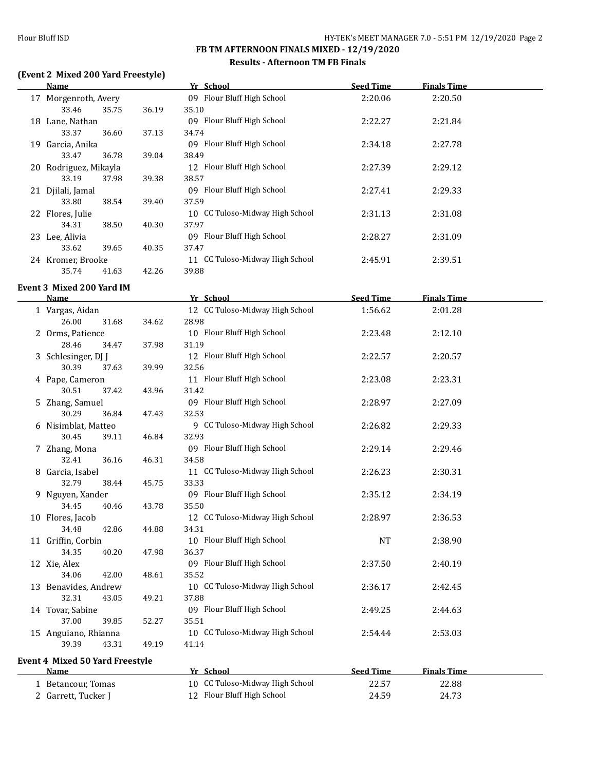#### **Results - Afternoon TM FB Finals**

## **(Event 2 Mixed 200 Yard Freestyle)**

| <b>Name</b>                      |       | Yr School                       | <b>Seed Time</b> | <b>Finals Time</b> |  |
|----------------------------------|-------|---------------------------------|------------------|--------------------|--|
| 17 Morgenroth, Avery             |       | 09 Flour Bluff High School      | 2:20.06          | 2:20.50            |  |
| 33.46<br>35.75                   | 36.19 | 35.10                           |                  |                    |  |
| 18 Lane, Nathan                  |       | 09 Flour Bluff High School      | 2:22.27          | 2:21.84            |  |
| 33.37<br>36.60                   | 37.13 | 34.74                           |                  |                    |  |
| 19 Garcia, Anika                 |       | 09 Flour Bluff High School      | 2:34.18          | 2:27.78            |  |
| 33.47<br>36.78                   | 39.04 | 38.49                           |                  |                    |  |
| 20 Rodriguez, Mikayla            |       | 12 Flour Bluff High School      | 2:27.39          | 2:29.12            |  |
| 33.19<br>37.98                   | 39.38 | 38.57                           |                  |                    |  |
| 21 Djilali, Jamal                |       | 09 Flour Bluff High School      | 2:27.41          | 2:29.33            |  |
| 33.80<br>38.54                   | 39.40 | 37.59                           |                  |                    |  |
| 22 Flores, Julie                 |       | 10 CC Tuloso-Midway High School | 2:31.13          | 2:31.08            |  |
| 34.31<br>38.50                   | 40.30 | 37.97                           |                  |                    |  |
| 23 Lee, Alivia                   |       | 09 Flour Bluff High School      | 2:28.27          | 2:31.09            |  |
| 33.62<br>39.65                   | 40.35 | 37.47                           |                  |                    |  |
| 24 Kromer, Brooke                |       | 11 CC Tuloso-Midway High School | 2:45.91          | 2:39.51            |  |
| 35.74<br>41.63                   | 42.26 | 39.88                           |                  |                    |  |
| <b>Event 3 Mixed 200 Yard IM</b> |       |                                 |                  |                    |  |
| <b>Name</b>                      |       | Yr School                       | <b>Seed Time</b> | <b>Finals Time</b> |  |
| 1 Vargas, Aidan                  |       | 12 CC Tuloso-Midway High School | 1:56.62          | 2:01.28            |  |
| 26.00<br>31.68                   | 34.62 | 28.98                           |                  |                    |  |
| 2 Orms, Patience                 |       | 10 Flour Bluff High School      | 2:23.48          | 2:12.10            |  |
| 28.46<br>34.47                   | 37.98 | 31.19                           |                  |                    |  |
| 3 Schlesinger, DJ J              |       | 12 Flour Bluff High School      | 2:22.57          | 2:20.57            |  |
| 30.39<br>37.63                   | 39.99 | 32.56                           |                  |                    |  |
| 4 Pape, Cameron                  |       | 11 Flour Bluff High School      | 2:23.08          | 2:23.31            |  |
| 30.51<br>37.42                   | 43.96 | 31.42                           |                  |                    |  |
| 5 Zhang, Samuel                  |       | 09 Flour Bluff High School      | 2:28.97          | 2:27.09            |  |
| 30.29<br>36.84                   | 47.43 | 32.53                           |                  |                    |  |
| 6 Nisimblat, Matteo              |       | 9 CC Tuloso-Midway High School  | 2:26.82          | 2:29.33            |  |
| 30.45<br>39.11                   | 46.84 | 32.93                           |                  |                    |  |
| 7 Zhang, Mona                    |       | 09 Flour Bluff High School      | 2:29.14          | 2:29.46            |  |
| 32.41<br>36.16                   | 46.31 | 34.58                           |                  |                    |  |
| 8 Garcia, Isabel                 |       | 11 CC Tuloso-Midway High School | 2:26.23          | 2:30.31            |  |
| 32.79<br>38.44                   | 45.75 | 33.33                           |                  |                    |  |
| 9 Nguyen, Xander                 |       | 09 Flour Bluff High School      | 2:35.12          | 2:34.19            |  |
| 34.45<br>40.46                   | 43.78 | 35.50                           |                  |                    |  |
| 10 Flores, Jacob                 |       | 12 CC Tuloso-Midway High School | 2:28.97          | 2:36.53            |  |
| 34.48<br>42.86                   | 44.88 | 34.31                           |                  |                    |  |
| 11 Griffin, Corbin               |       | 10 Flour Bluff High School      | <b>NT</b>        | 2:38.90            |  |
| 34.35<br>40.20                   | 47.98 | 36.37                           |                  |                    |  |
| 12 Xie, Alex                     |       | 09 Flour Bluff High School      | 2:37.50          | 2:40.19            |  |
| 34.06<br>42.00                   | 48.61 | 35.52                           |                  |                    |  |
| 13 Benavides, Andrew             |       | 10 CC Tuloso-Midway High School | 2:36.17          | 2:42.45            |  |
| 32.31<br>43.05                   | 49.21 | 37.88                           |                  |                    |  |
| 14 Tovar, Sabine                 |       | 09 Flour Bluff High School      | 2:49.25          | 2:44.63            |  |
| 37.00<br>39.85                   | 52.27 | 35.51                           |                  |                    |  |
| 15 Anguiano, Rhianna             |       | 10 CC Tuloso-Midway High School | 2:54.44          | 2:53.03            |  |
| 39.39<br>43.31                   | 49.19 | 41.14                           |                  |                    |  |

## **Event 4 Mixed 50 Yard Freestyle**

| <b>Name</b>         | Yr School                       | Seed Time | <b>Finals Time</b> |  |
|---------------------|---------------------------------|-----------|--------------------|--|
| Betancour, Tomas    | 10 CC Tuloso-Midway High School | 22.57     | 22.88              |  |
| 2 Garrett, Tucker J | 12 Flour Bluff High School      | 24.59     | 24.73              |  |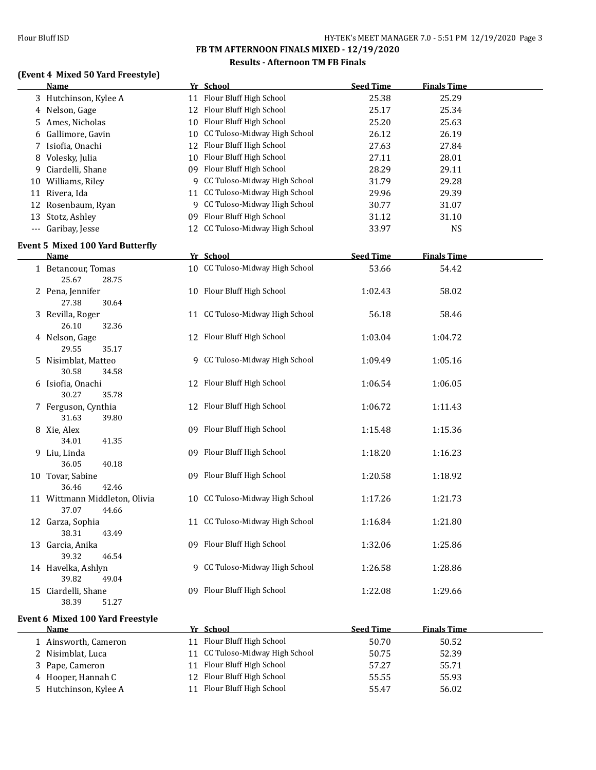#### **Results - Afternoon TM FB Finals**

## **(Event 4 Mixed 50 Yard Freestyle)**

| <u>Name</u>                                     | Yr School                       | <b>Seed Time</b> | <b>Finals Time</b> |  |
|-------------------------------------------------|---------------------------------|------------------|--------------------|--|
| 3 Hutchinson, Kylee A                           | 11 Flour Bluff High School      | 25.38            | 25.29              |  |
| 4 Nelson, Gage                                  | 12 Flour Bluff High School      | 25.17            | 25.34              |  |
| 5 Ames, Nicholas                                | 10 Flour Bluff High School      | 25.20            | 25.63              |  |
| 6 Gallimore, Gavin                              | 10 CC Tuloso-Midway High School | 26.12            | 26.19              |  |
| 7 Isiofia, Onachi                               | 12 Flour Bluff High School      | 27.63            | 27.84              |  |
| 8 Volesky, Julia                                | 10 Flour Bluff High School      | 27.11            | 28.01              |  |
| 9 Ciardelli, Shane                              | 09 Flour Bluff High School      | 28.29            | 29.11              |  |
| 10 Williams, Riley                              | 9 CC Tuloso-Midway High School  | 31.79            | 29.28              |  |
| 11 Rivera, Ida                                  | 11 CC Tuloso-Midway High School | 29.96            | 29.39              |  |
| 12 Rosenbaum, Ryan                              | 9 CC Tuloso-Midway High School  | 30.77            | 31.07              |  |
| 13 Stotz, Ashley                                | 09 Flour Bluff High School      | 31.12            | 31.10              |  |
| --- Garibay, Jesse                              | 12 CC Tuloso-Midway High School | 33.97            | <b>NS</b>          |  |
| <b>Event 5 Mixed 100 Yard Butterfly</b>         |                                 |                  |                    |  |
| Name                                            | Yr School                       | <b>Seed Time</b> | <b>Finals Time</b> |  |
| 1 Betancour, Tomas                              | 10 CC Tuloso-Midway High School | 53.66            | 54.42              |  |
| 25.67<br>28.75                                  |                                 |                  |                    |  |
| 2 Pena, Jennifer                                | 10 Flour Bluff High School      | 1:02.43          | 58.02              |  |
| 27.38<br>30.64                                  |                                 |                  |                    |  |
| 3 Revilla, Roger                                | 11 CC Tuloso-Midway High School | 56.18            | 58.46              |  |
| 26.10<br>32.36                                  |                                 |                  |                    |  |
| 4 Nelson, Gage                                  | 12 Flour Bluff High School      | 1:03.04          | 1:04.72            |  |
| 29.55<br>35.17                                  |                                 |                  |                    |  |
| 5 Nisimblat, Matteo                             | 9 CC Tuloso-Midway High School  | 1:09.49          | 1:05.16            |  |
| 30.58<br>34.58                                  |                                 |                  |                    |  |
| 6 Isiofia, Onachi                               | 12 Flour Bluff High School      | 1:06.54          | 1:06.05            |  |
| 30.27<br>35.78                                  |                                 |                  |                    |  |
| 7 Ferguson, Cynthia                             | 12 Flour Bluff High School      | 1:06.72          | 1:11.43            |  |
| 31.63<br>39.80                                  |                                 |                  |                    |  |
| 8 Xie, Alex                                     | 09 Flour Bluff High School      | 1:15.48          | 1:15.36            |  |
| 34.01<br>41.35                                  |                                 |                  |                    |  |
| 9 Liu, Linda                                    | 09 Flour Bluff High School      | 1:18.20          | 1:16.23            |  |
| 36.05<br>40.18                                  |                                 |                  |                    |  |
| 10 Tovar, Sabine                                | 09 Flour Bluff High School      | 1:20.58          | 1:18.92            |  |
| 36.46<br>42.46                                  | 10 CC Tuloso-Midway High School |                  |                    |  |
| 11 Wittmann Middleton, Olivia<br>37.07<br>44.66 |                                 | 1:17.26          | 1:21.73            |  |
| 12 Garza, Sophia                                | 11 CC Tuloso-Midway High School | 1:16.84          | 1:21.80            |  |
| 38.31<br>43.49                                  |                                 |                  |                    |  |
| 13 Garcia, Anika                                | 09 Flour Bluff High School      | 1:32.06          | 1:25.86            |  |
| 39.32<br>46.54                                  |                                 |                  |                    |  |
| 14 Havelka, Ashlyn                              | 9 CC Tuloso-Midway High School  | 1:26.58          | 1:28.86            |  |
| 39.82<br>49.04                                  |                                 |                  |                    |  |
| 15 Ciardelli, Shane                             | 09 Flour Bluff High School      | 1:22.08          | 1:29.66            |  |
| 38.39<br>51.27                                  |                                 |                  |                    |  |

#### **Event 6 Mixed 100 Yard Freestyle**

| Name                  |    | Yr School                       | <b>Seed Time</b> | <b>Finals Time</b> |
|-----------------------|----|---------------------------------|------------------|--------------------|
| 1 Ainsworth, Cameron  | 11 | Flour Bluff High School         | 50.70            | 50.52              |
| 2 Nisimblat, Luca     |    | 11 CC Tuloso-Midway High School | 50.75            | 52.39              |
| 3 Pape, Cameron       | 11 | Flour Bluff High School         | 57.27            | 55.71              |
| 4 Hooper, Hannah C    |    | 12 Flour Bluff High School      | 55.55            | 55.93              |
| 5 Hutchinson, Kylee A | 11 | Flour Bluff High School         | 55.47            | 56.02              |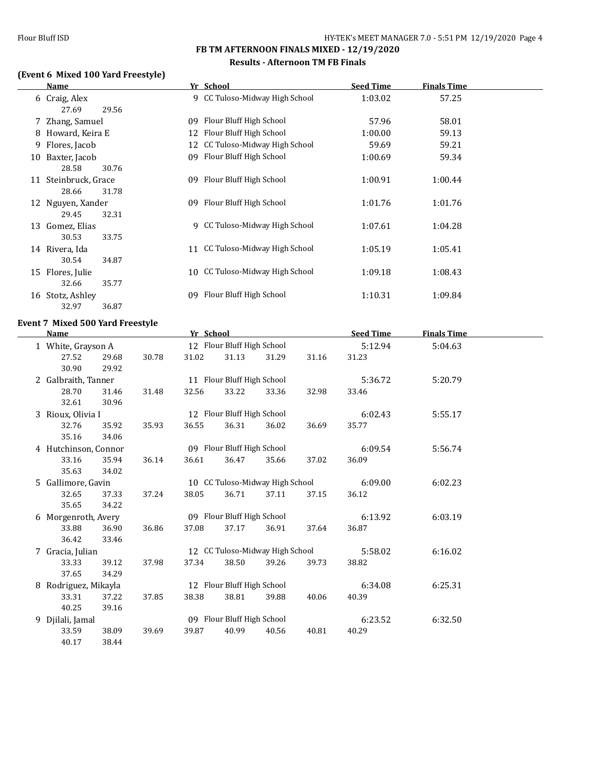#### **Results - Afternoon TM FB Finals**

## **(Event 6 Mixed 100 Yard Freestyle)**

|    | Name                            | Yr School                          | <b>Seed Time</b> | <b>Finals Time</b> |  |
|----|---------------------------------|------------------------------------|------------------|--------------------|--|
|    | 6 Craig, Alex<br>27.69<br>29.56 | 9 CC Tuloso-Midway High School     | 1:03.02          | 57.25              |  |
|    | 7 Zhang, Samuel                 | Flour Bluff High School<br>09      | 57.96            | 58.01              |  |
|    |                                 |                                    |                  |                    |  |
| 8  | Howard, Keira E                 | Flour Bluff High School<br>12      | 1:00.00          | 59.13              |  |
| 9  | Flores, Jacob                   | CC Tuloso-Midway High School<br>12 | 59.69            | 59.21              |  |
| 10 | Baxter, Jacob                   | Flour Bluff High School<br>09      | 1:00.69          | 59.34              |  |
|    | 28.58<br>30.76                  |                                    |                  |                    |  |
|    | 11 Steinbruck, Grace            | Flour Bluff High School<br>09      | 1:00.91          | 1:00.44            |  |
|    | 31.78<br>28.66                  |                                    |                  |                    |  |
|    | 12 Nguyen, Xander               | Flour Bluff High School<br>09      | 1:01.76          | 1:01.76            |  |
|    | 32.31<br>29.45                  |                                    |                  |                    |  |
| 13 | Gomez, Elias                    | CC Tuloso-Midway High School<br>q  | 1:07.61          | 1:04.28            |  |
|    | 30.53<br>33.75                  |                                    |                  |                    |  |
|    | 14 Rivera, Ida                  | CC Tuloso-Midway High School<br>11 | 1:05.19          | 1:05.41            |  |
|    | 30.54<br>34.87                  |                                    |                  |                    |  |
| 15 | Flores, Julie                   | CC Tuloso-Midway High School<br>10 | 1:09.18          | 1:08.43            |  |
|    | 32.66<br>35.77                  |                                    |                  |                    |  |
| 16 | Stotz, Ashley                   | Flour Bluff High School<br>09      | 1:10.31          | 1:09.84            |  |
|    | 32.97<br>36.87                  |                                    |                  |                    |  |
|    |                                 |                                    |                  |                    |  |

# **Event 7 Mixed 500 Yard Freestyle**

|   | <b>Name</b>          |       |       | Yr School |                            |                                 |       | <b>Seed Time</b> | <b>Finals Time</b> |  |
|---|----------------------|-------|-------|-----------|----------------------------|---------------------------------|-------|------------------|--------------------|--|
|   | 1 White, Grayson A   |       |       |           | 12 Flour Bluff High School |                                 |       | 5:12.94          | 5:04.63            |  |
|   | 27.52                | 29.68 | 30.78 | 31.02     | 31.13                      | 31.29                           | 31.16 | 31.23            |                    |  |
|   | 30.90                | 29.92 |       |           |                            |                                 |       |                  |                    |  |
|   | 2 Galbraith, Tanner  |       |       |           | 11 Flour Bluff High School |                                 |       | 5:36.72          | 5:20.79            |  |
|   | 28.70                | 31.46 | 31.48 | 32.56     | 33.22                      | 33.36                           | 32.98 | 33.46            |                    |  |
|   | 32.61                | 30.96 |       |           |                            |                                 |       |                  |                    |  |
|   | 3 Rioux, Olivia I    |       |       |           | 12 Flour Bluff High School |                                 |       | 6:02.43          | 5:55.17            |  |
|   | 32.76                | 35.92 | 35.93 | 36.55     | 36.31                      | 36.02                           | 36.69 | 35.77            |                    |  |
|   | 35.16                | 34.06 |       |           |                            |                                 |       |                  |                    |  |
|   | 4 Hutchinson, Connor |       |       |           | 09 Flour Bluff High School |                                 |       | 6:09.54          | 5:56.74            |  |
|   | 33.16                | 35.94 | 36.14 | 36.61     | 36.47                      | 35.66                           | 37.02 | 36.09            |                    |  |
|   | 35.63                | 34.02 |       |           |                            |                                 |       |                  |                    |  |
|   | 5 Gallimore, Gavin   |       |       |           |                            | 10 CC Tuloso-Midway High School |       | 6:09.00          | 6:02.23            |  |
|   | 32.65                | 37.33 | 37.24 | 38.05     | 36.71                      | 37.11                           | 37.15 | 36.12            |                    |  |
|   | 35.65                | 34.22 |       |           |                            |                                 |       |                  |                    |  |
|   | 6 Morgenroth, Avery  |       |       |           | 09 Flour Bluff High School |                                 |       | 6:13.92          | 6:03.19            |  |
|   | 33.88                | 36.90 | 36.86 | 37.08     | 37.17                      | 36.91                           | 37.64 | 36.87            |                    |  |
|   | 36.42                | 33.46 |       |           |                            |                                 |       |                  |                    |  |
| 7 | Gracia, Julian       |       |       |           |                            | 12 CC Tuloso-Midway High School |       | 5:58.02          | 6:16.02            |  |
|   | 33.33                | 39.12 | 37.98 | 37.34     | 38.50                      | 39.26                           | 39.73 | 38.82            |                    |  |
|   | 37.65                | 34.29 |       |           |                            |                                 |       |                  |                    |  |
| 8 | Rodriguez, Mikayla   |       |       |           | 12 Flour Bluff High School |                                 |       | 6:34.08          | 6:25.31            |  |
|   | 33.31                | 37.22 | 37.85 | 38.38     | 38.81                      | 39.88                           | 40.06 | 40.39            |                    |  |
|   | 40.25                | 39.16 |       |           |                            |                                 |       |                  |                    |  |
|   | 9 Djilali, Jamal     |       |       |           | 09 Flour Bluff High School |                                 |       | 6:23.52          | 6:32.50            |  |
|   | 33.59                | 38.09 | 39.69 | 39.87     | 40.99                      | 40.56                           | 40.81 | 40.29            |                    |  |
|   | 40.17                | 38.44 |       |           |                            |                                 |       |                  |                    |  |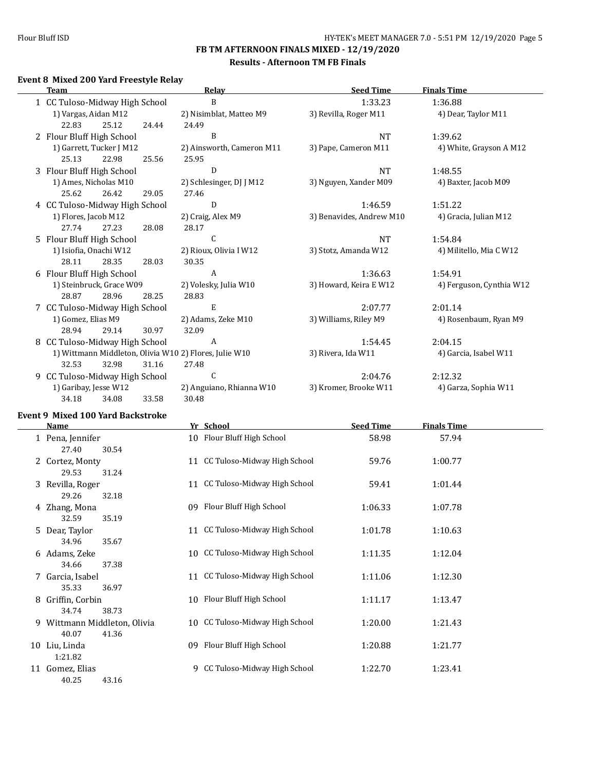#### **Results - Afternoon TM FB Finals**

## **Event 8 Mixed 200 Yard Freestyle Relay**

| <b>Team</b>                                            | Relay                     | <b>Seed Time</b>         | <b>Finals Time</b>       |
|--------------------------------------------------------|---------------------------|--------------------------|--------------------------|
| 1 CC Tuloso-Midway High School                         | B                         | 1:33.23                  | 1:36.88                  |
| 1) Vargas, Aidan M12                                   | 2) Nisimblat, Matteo M9   | 3) Revilla, Roger M11    | 4) Dear, Taylor M11      |
| 25.12<br>22.83<br>24.44                                | 24.49                     |                          |                          |
| 2 Flour Bluff High School                              | B                         | <b>NT</b>                | 1:39.62                  |
| 1) Garrett, Tucker J M12                               | 2) Ainsworth, Cameron M11 | 3) Pape, Cameron M11     | 4) White, Grayson A M12  |
| 25.13<br>22.98<br>25.56                                | 25.95                     |                          |                          |
| 3 Flour Bluff High School                              | D                         | <b>NT</b>                | 1:48.55                  |
| 1) Ames, Nicholas M10                                  | 2) Schlesinger, DJ J M12  | 3) Nguyen, Xander M09    | 4) Baxter, Jacob M09     |
| 25.62<br>26.42<br>29.05                                | 27.46                     |                          |                          |
| 4 CC Tuloso-Midway High School                         | D                         | 1:46.59                  | 1:51.22                  |
| 1) Flores, Jacob M12                                   | 2) Craig, Alex M9         | 3) Benavides, Andrew M10 | 4) Gracia, Julian M12    |
| 27.23<br>28.08<br>27.74                                | 28.17                     |                          |                          |
| 5 Flour Bluff High School                              | $\mathsf C$               | <b>NT</b>                | 1:54.84                  |
| 1) Isiofia, Onachi W12                                 | 2) Rioux, Olivia I W12    | 3) Stotz, Amanda W12     | 4) Militello, Mia C W12  |
| 28.35<br>28.11<br>28.03                                | 30.35                     |                          |                          |
| 6 Flour Bluff High School                              | $\overline{A}$            | 1:36.63                  | 1:54.91                  |
| 1) Steinbruck, Grace W09                               | 2) Volesky, Julia W10     | 3) Howard, Keira E W12   | 4) Ferguson, Cynthia W12 |
| 28.87<br>28.96<br>28.25                                | 28.83                     |                          |                          |
| 7 CC Tuloso-Midway High School                         | E                         | 2:07.77                  | 2:01.14                  |
| 1) Gomez, Elias M9                                     | 2) Adams, Zeke M10        | 3) Williams, Riley M9    | 4) Rosenbaum, Ryan M9    |
| 28.94<br>29.14<br>30.97                                | 32.09                     |                          |                          |
| 8 CC Tuloso-Midway High School                         | A                         | 1:54.45                  | 2:04.15                  |
| 1) Wittmann Middleton, Olivia W10 2) Flores, Julie W10 |                           | 3) Rivera, Ida W11       | 4) Garcia, Isabel W11    |
| 32.98<br>32.53<br>31.16                                | 27.48                     |                          |                          |
| 9 CC Tuloso-Midway High School                         | C                         | 2:04.76                  | 2:12.32                  |
| 1) Garibay, Jesse W12                                  | 2) Anguiano, Rhianna W10  | 3) Kromer, Brooke W11    | 4) Garza, Sophia W11     |
| 34.18<br>33.58<br>34.08                                | 30.48                     |                          |                          |

#### **Event 9 Mixed 100 Yard Backstroke**

|    | Name                                         | Yr School                          | <b>Seed Time</b> | <b>Finals Time</b> |  |
|----|----------------------------------------------|------------------------------------|------------------|--------------------|--|
|    | 1 Pena, Jennifer<br>30.54<br>27.40           | 10 Flour Bluff High School         | 58.98            | 57.94              |  |
|    | 2 Cortez, Monty                              | 11 CC Tuloso-Midway High School    | 59.76            | 1:00.77            |  |
|    | 29.53<br>31.24<br>3 Revilla, Roger           | 11 CC Tuloso-Midway High School    | 59.41            | 1:01.44            |  |
|    | 29.26<br>32.18<br>4 Zhang, Mona              | 09 Flour Bluff High School         | 1:06.33          | 1:07.78            |  |
|    | 32.59<br>35.19<br>5 Dear, Taylor             | 11 CC Tuloso-Midway High School    | 1:01.78          | 1:10.63            |  |
|    | 34.96<br>35.67<br>6 Adams, Zeke              | 10 CC Tuloso-Midway High School    | 1:11.35          | 1:12.04            |  |
|    | 37.38<br>34.66<br>7 Garcia, Isabel           | CC Tuloso-Midway High School<br>11 | 1:11.06          | 1:12.30            |  |
| 8  | 35.33<br>36.97<br>Griffin, Corbin            | 10 Flour Bluff High School         | 1:11.17          | 1:13.47            |  |
| 9. | 34.74<br>38.73<br>Wittmann Middleton, Olivia | 10 CC Tuloso-Midway High School    | 1:20.00          | 1:21.43            |  |
| 10 | 40.07<br>41.36<br>Liu, Linda                 | Flour Bluff High School<br>09      | 1:20.88          | 1:21.77            |  |
| 11 | 1:21.82<br>Gomez, Elias<br>40.25<br>43.16    | 9 CC Tuloso-Midway High School     | 1:22.70          | 1:23.41            |  |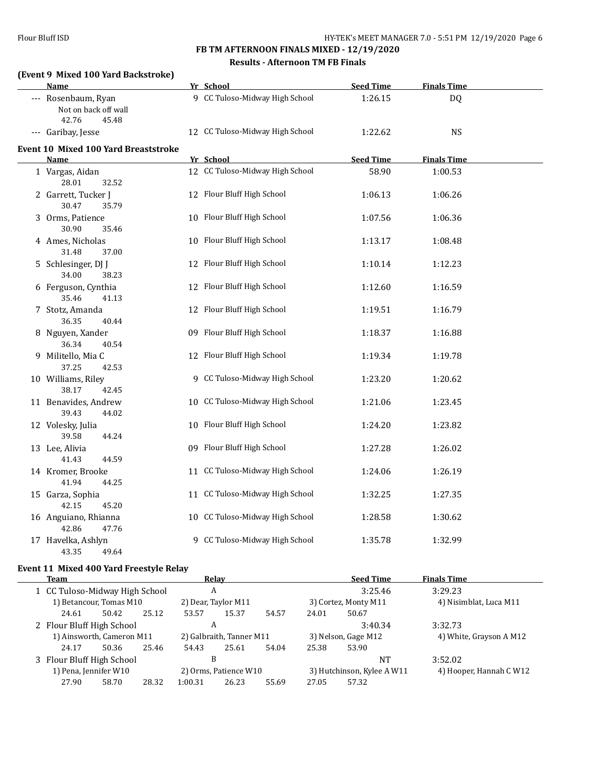## **FB TM AFTERNOON FINALS MIXED - 12/19/2020 Results - Afternoon TM FB Finals**

## **(Event 9 Mixed 100 Yard Backstroke)**

| Name                                                          | Yr School                       | <b>Seed Time</b> | <b>Finals Time</b> |  |
|---------------------------------------------------------------|---------------------------------|------------------|--------------------|--|
| --- Rosenbaum, Ryan<br>Not on back off wall<br>42.76<br>45.48 | 9 CC Tuloso-Midway High School  | 1:26.15          | DQ                 |  |
| --- Garibay, Jesse                                            | 12 CC Tuloso-Midway High School | 1:22.62          | <b>NS</b>          |  |
| Event 10 Mixed 100 Yard Breaststroke                          |                                 |                  |                    |  |
| Name                                                          | Yr School                       | <b>Seed Time</b> | <b>Finals Time</b> |  |
| 1 Vargas, Aidan<br>28.01<br>32.52                             | 12 CC Tuloso-Midway High School | 58.90            | 1:00.53            |  |
| 2 Garrett, Tucker J<br>30.47<br>35.79                         | 12 Flour Bluff High School      | 1:06.13          | 1:06.26            |  |
| 3 Orms, Patience<br>30.90<br>35.46                            | 10 Flour Bluff High School      | 1:07.56          | 1:06.36            |  |
| 4 Ames, Nicholas<br>31.48<br>37.00                            | 10 Flour Bluff High School      | 1:13.17          | 1:08.48            |  |
| 5 Schlesinger, DJ J<br>34.00<br>38.23                         | 12 Flour Bluff High School      | 1:10.14          | 1:12.23            |  |
| 6 Ferguson, Cynthia<br>35.46<br>41.13                         | 12 Flour Bluff High School      | 1:12.60          | 1:16.59            |  |
| 7 Stotz, Amanda<br>36.35<br>40.44                             | 12 Flour Bluff High School      | 1:19.51          | 1:16.79            |  |
| 8 Nguyen, Xander<br>36.34<br>40.54                            | 09 Flour Bluff High School      | 1:18.37          | 1:16.88            |  |
| 9 Militello, Mia C<br>37.25<br>42.53                          | 12 Flour Bluff High School      | 1:19.34          | 1:19.78            |  |
| 10 Williams, Riley<br>38.17<br>42.45                          | 9 CC Tuloso-Midway High School  | 1:23.20          | 1:20.62            |  |
| 11 Benavides, Andrew<br>39.43<br>44.02                        | 10 CC Tuloso-Midway High School | 1:21.06          | 1:23.45            |  |
| 12 Volesky, Julia<br>39.58<br>44.24                           | 10 Flour Bluff High School      | 1:24.20          | 1:23.82            |  |
| 13 Lee, Alivia<br>41.43<br>44.59                              | 09 Flour Bluff High School      | 1:27.28          | 1:26.02            |  |
| 14 Kromer, Brooke<br>41.94<br>44.25                           | 11 CC Tuloso-Midway High School | 1:24.06          | 1:26.19            |  |
| 15 Garza, Sophia<br>42.15<br>45.20                            | 11 CC Tuloso-Midway High School | 1:32.25          | 1:27.35            |  |
| 16 Anguiano, Rhianna<br>42.86<br>47.76                        | 10 CC Tuloso-Midway High School | 1:28.58          | 1:30.62            |  |
| 17 Havelka, Ashlyn<br>43.35<br>49.64                          | 9 CC Tuloso-Midway High School  | 1:35.78          | 1:32.99            |  |

## **Event 11 Mixed 400 Yard Freestyle Relay**

| <b>Team</b>                    |       |       |         | Relay                    |       |       | <b>Seed Time</b>           | <b>Finals Time</b>      |
|--------------------------------|-------|-------|---------|--------------------------|-------|-------|----------------------------|-------------------------|
| 1 CC Tuloso-Midway High School |       |       |         | A                        |       |       | 3:25.46                    | 3:29.23                 |
| 1) Betancour, Tomas M10        |       |       |         | 2) Dear, Taylor M11      |       |       | 3) Cortez, Monty M11       | 4) Nisimblat, Luca M11  |
| 24.61                          | 50.42 | 25.12 | 53.57   | 15.37                    | 54.57 | 24.01 | 50.67                      |                         |
| 2 Flour Bluff High School      |       |       |         | A                        |       |       | 3:40.34                    | 3:32.73                 |
| 1) Ainsworth, Cameron M11      |       |       |         | 2) Galbraith, Tanner M11 |       |       | 3) Nelson, Gage M12        | 4) White, Grayson A M12 |
| 24.17                          | 50.36 | 25.46 | 54.43   | 25.61                    | 54.04 | 25.38 | 53.90                      |                         |
| 3 Flour Bluff High School      |       |       |         | В                        |       |       | NT                         | 3:52.02                 |
| 1) Pena, Jennifer W10          |       |       |         | 2) Orms, Patience W10    |       |       | 3) Hutchinson, Kylee A W11 | 4) Hooper, Hannah C W12 |
| 27.90                          | 58.70 | 28.32 | 1:00.31 | 26.23                    | 55.69 | 27.05 | 57.32                      |                         |